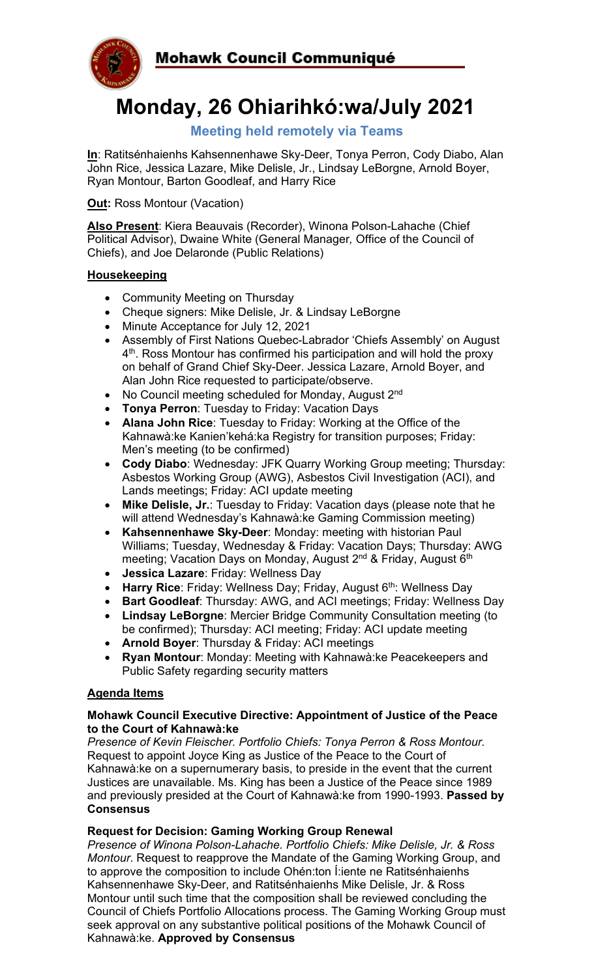

# **Monday, 26 Ohiarihkó:wa/July 2021**

### **Meeting held remotely via Teams**

**In**: Ratitsénhaienhs Kahsennenhawe Sky-Deer, Tonya Perron, Cody Diabo, Alan John Rice, Jessica Lazare, Mike Delisle, Jr., Lindsay LeBorgne, Arnold Boyer, Ryan Montour, Barton Goodleaf, and Harry Rice

**Out: Ross Montour (Vacation)** 

**Also Present**: Kiera Beauvais (Recorder), Winona Polson-Lahache (Chief Political Advisor), Dwaine White (General Manager*,* Office of the Council of Chiefs), and Joe Delaronde (Public Relations)

#### **Housekeeping**

- Community Meeting on Thursday
- Cheque signers: Mike Delisle, Jr. & Lindsay LeBorgne
- Minute Acceptance for July 12, 2021
- Assembly of First Nations Quebec-Labrador 'Chiefs Assembly' on August 4<sup>th</sup>. Ross Montour has confirmed his participation and will hold the proxy on behalf of Grand Chief Sky-Deer. Jessica Lazare, Arnold Boyer, and Alan John Rice requested to participate/observe.
- No Council meeting scheduled for Monday, August 2<sup>nd</sup>
- **Tonya Perron**: Tuesday to Friday: Vacation Days
- **Alana John Rice**: Tuesday to Friday: Working at the Office of the Kahnawà:ke Kanien'kehá:ka Registry for transition purposes; Friday: Men's meeting (to be confirmed)
- **Cody Diabo**: Wednesday: JFK Quarry Working Group meeting; Thursday: Asbestos Working Group (AWG), Asbestos Civil Investigation (ACI), and Lands meetings; Friday: ACI update meeting
- **Mike Delisle, Jr.**: Tuesday to Friday: Vacation days (please note that he will attend Wednesday's Kahnawà:ke Gaming Commission meeting)
- **Kahsennenhawe Sky-Deer**: Monday: meeting with historian Paul Williams; Tuesday, Wednesday & Friday: Vacation Days; Thursday: AWG meeting; Vacation Days on Monday, August 2<sup>nd</sup> & Friday, August 6<sup>th</sup>
- **Jessica Lazare**: Friday: Wellness Day
- **Harry Rice**: Friday: Wellness Day; Friday, August 6<sup>th</sup>: Wellness Day
- **Bart Goodleaf**: Thursday: AWG, and ACI meetings; Friday: Wellness Day
- **Lindsay LeBorgne**: Mercier Bridge Community Consultation meeting (to be confirmed); Thursday: ACI meeting; Friday: ACI update meeting
- **Arnold Boyer**: Thursday & Friday: ACI meetings
- **Ryan Montour**: Monday: Meeting with Kahnawà:ke Peacekeepers and Public Safety regarding security matters

#### **Agenda Items**

#### **Mohawk Council Executive Directive: Appointment of Justice of the Peace to the Court of Kahnawà:ke**

*Presence of Kevin Fleischer. Portfolio Chiefs: Tonya Perron & Ross Montour.* Request to appoint Joyce King as Justice of the Peace to the Court of Kahnawà:ke on a supernumerary basis, to preside in the event that the current Justices are unavailable. Ms. King has been a Justice of the Peace since 1989 and previously presided at the Court of Kahnawà:ke from 1990-1993. **Passed by Consensus**

#### **Request for Decision: Gaming Working Group Renewal**

*Presence of Winona Polson-Lahache. Portfolio Chiefs: Mike Delisle, Jr. & Ross Montour*. Request to reapprove the Mandate of the Gaming Working Group, and to approve the composition to include Ohén:ton Í:iente ne Ratitsénhaienhs Kahsennenhawe Sky-Deer, and Ratitsénhaienhs Mike Delisle, Jr. & Ross Montour until such time that the composition shall be reviewed concluding the Council of Chiefs Portfolio Allocations process. The Gaming Working Group must seek approval on any substantive political positions of the Mohawk Council of Kahnawà:ke. **Approved by Consensus**